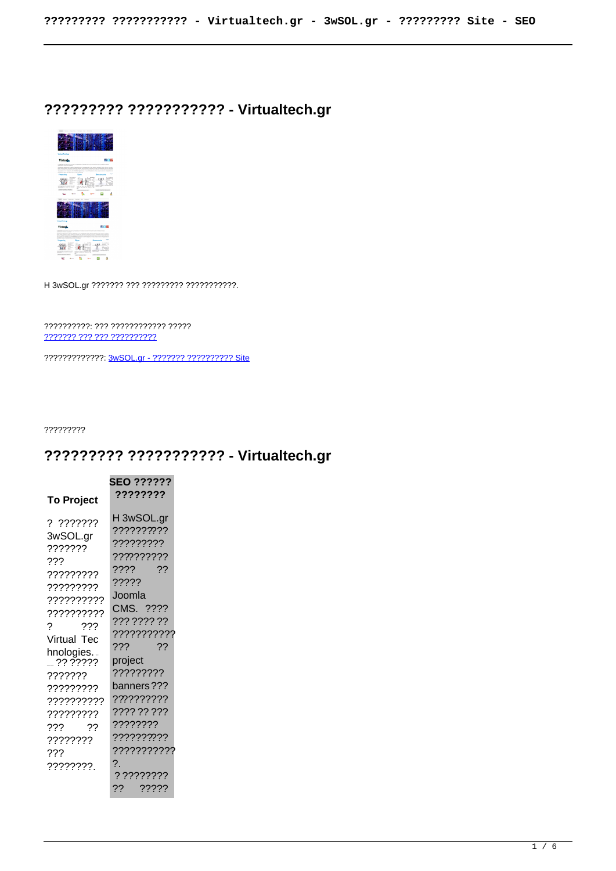## ????????? ??????????? - Virtualtech.gr



H 3wSOL.gr ??????? ??? ????????? ????????????.

## ?????????? ??? ???????????? ????? ??????? ??? ??? ??????????

????????????? 3wSOL.gr - ??????? ?????????? Site

?????????

## ????????? ??????????? - Virtualtech.gr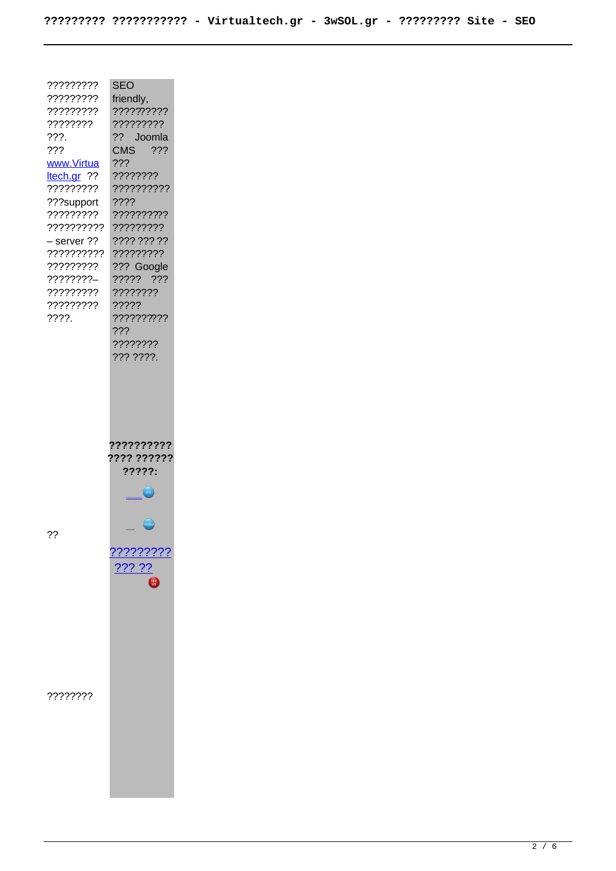| ?????????<br>?????????<br>?????????<br>????????<br>???.<br>???<br>www.Virtua<br>ltech.gr ??<br>?????????<br>???support<br>?????????<br>??????????<br>- server ??<br>??????????<br>?????????<br>????????-<br>?????????<br>?????????<br>????. | SEO<br>friendly,<br>??????????<br>?????????<br>?? Joomla<br>CMS ???<br>???<br>????????<br>??????????<br>????<br>??????????<br>?????????<br>???? ??? ??<br>?????????<br>??? Google<br>????? ???<br>????????<br>?????<br>??????????<br>???<br>????????<br>??? ????. |
|---------------------------------------------------------------------------------------------------------------------------------------------------------------------------------------------------------------------------------------------|-------------------------------------------------------------------------------------------------------------------------------------------------------------------------------------------------------------------------------------------------------------------|
| ??                                                                                                                                                                                                                                          | ??????????<br>???? ??????<br>?????:<br>$\left($ sm<br>(IODMLA)<br><u>?????????</u><br><u> ??? ??</u>                                                                                                                                                              |
| ????????                                                                                                                                                                                                                                    |                                                                                                                                                                                                                                                                   |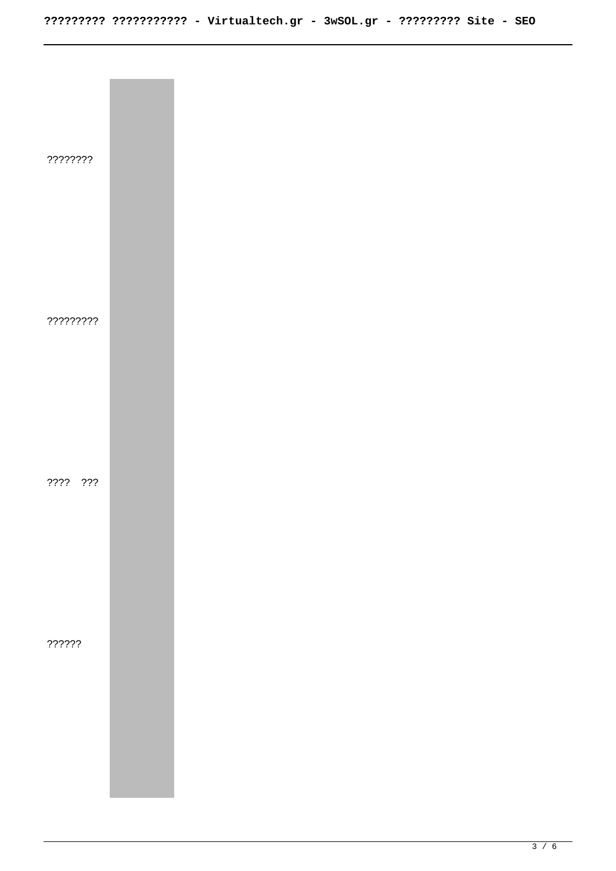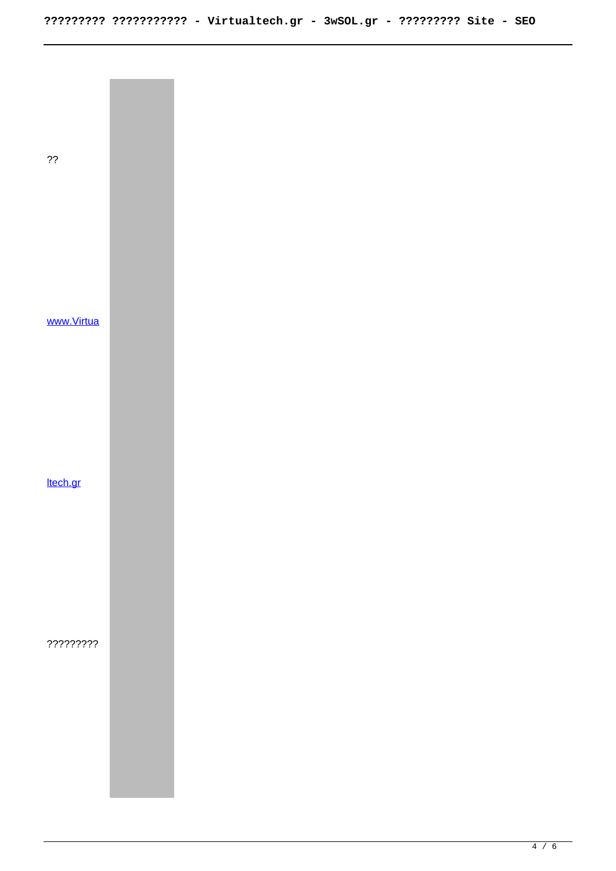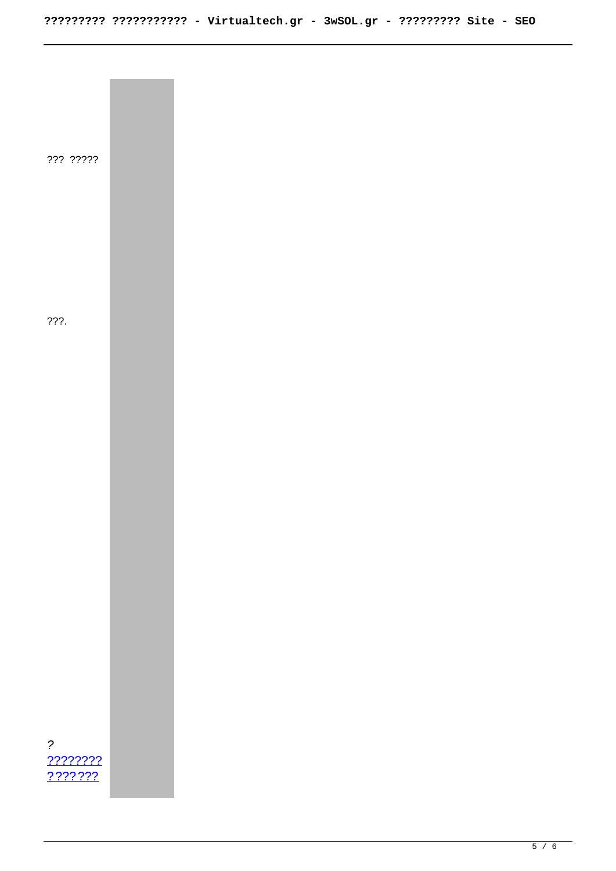? [????????](kataskeyh-site/κατασκευή-ιστοσελίδας) [? ??? ???](kataskeyh-site/κατασκευή-ιστοσελίδας)

??? ?????

???.